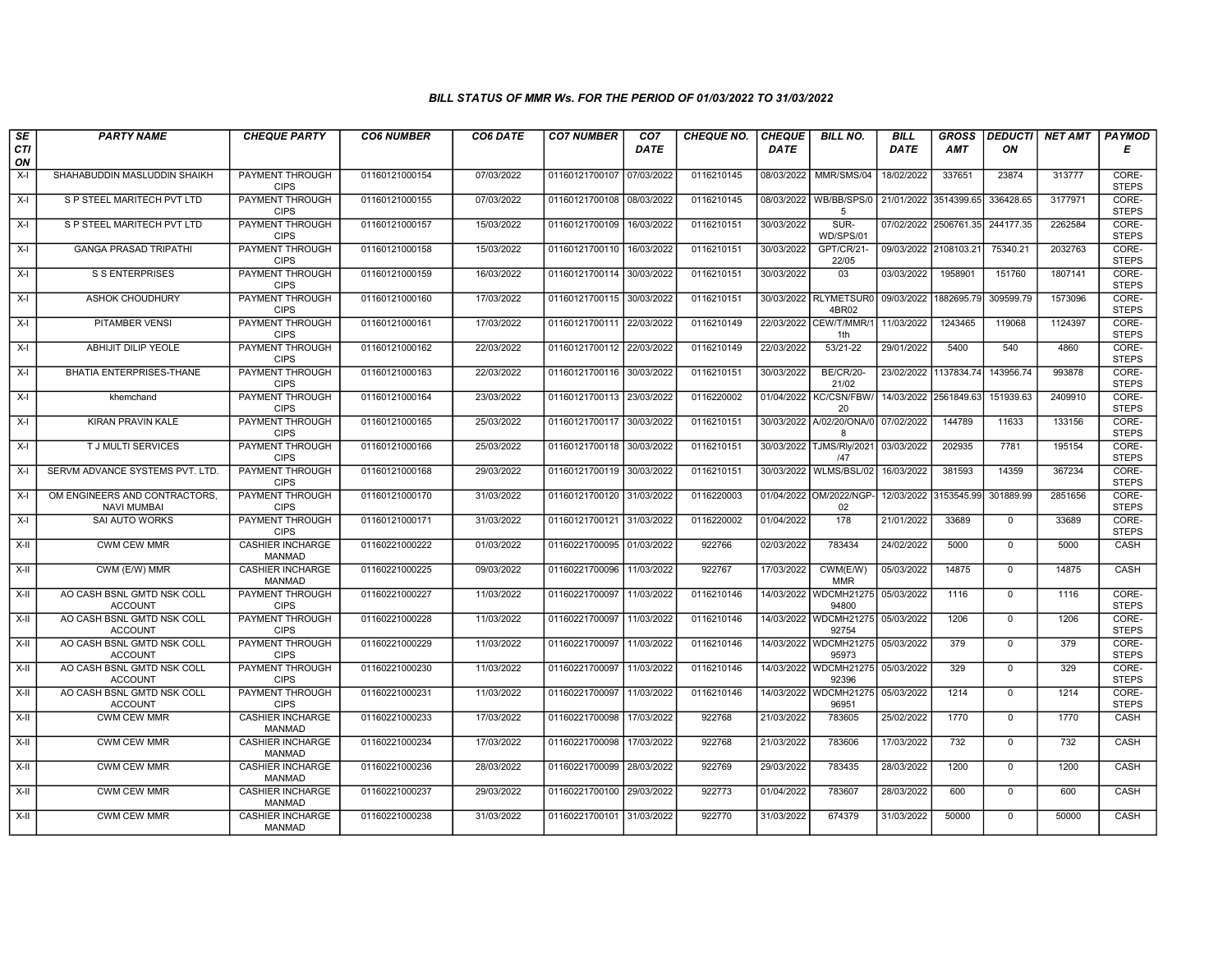## BILL STATUS OF MMR Ws. FOR THE PERIOD OF 01/03/2022 TO 31/03/2022

| SE        | <b>PARTY NAME</b>                                   | <b>CHEQUE PARTY</b>                      | <b>CO6 NUMBER</b> | CO6 DATE   | <b>CO7 NUMBER</b>         | CO <sub>7</sub> | <b>CHEQUE NO.</b> | <b>CHEQUE</b> | <b>BILL NO.</b>                | <b>BILL</b>           | <b>GROSS</b>          | <b>DEDUCTI</b> | NET AMT | <b>PAYMOD</b>         |
|-----------|-----------------------------------------------------|------------------------------------------|-------------------|------------|---------------------------|-----------------|-------------------|---------------|--------------------------------|-----------------------|-----------------------|----------------|---------|-----------------------|
| CTI<br>ON |                                                     |                                          |                   |            |                           | <b>DATE</b>     |                   | <b>DATE</b>   |                                | DATE                  | <b>AMT</b>            | ON             |         | E                     |
| $X-I$     | SHAHABUDDIN MASLUDDIN SHAIKH                        | <b>PAYMENT THROUGH</b><br><b>CIPS</b>    | 01160121000154    | 07/03/2022 | 01160121700107 07/03/2022 |                 | 0116210145        | 08/03/2022    | MMR/SMS/04                     | 18/02/2022            | 337651                | 23874          | 313777  | CORE-<br><b>STEPS</b> |
| $X-I$     | S P STEEL MARITECH PVT LTD                          | <b>PAYMENT THROUGH</b><br><b>CIPS</b>    | 01160121000155    | 07/03/2022 | 01160121700108 08/03/2022 |                 | 0116210145        | 08/03/2022    | WB/BB/SPS/0<br>5               |                       | 21/01/2022 3514399.65 | 336428.65      | 3177971 | CORE-<br><b>STEPS</b> |
| $X-I$     | S P STEEL MARITECH PVT LTD                          | PAYMENT THROUGH<br><b>CIPS</b>           | 01160121000157    | 15/03/2022 | 01160121700109 16/03/2022 |                 | 0116210151        | 30/03/2022    | SUR-<br>WD/SPS/01              |                       | 07/02/2022 2506761.35 | 244177.35      | 2262584 | CORE-<br><b>STEPS</b> |
| $X-I$     | <b>GANGA PRASAD TRIPATHI</b>                        | PAYMENT THROUGH<br><b>CIPS</b>           | 01160121000158    | 15/03/2022 | 01160121700110 16/03/2022 |                 | 0116210151        | 30/03/2022    | GPT/CR/21-<br>22/05            | 09/03/2022 2108103.2  |                       | 75340.21       | 2032763 | CORE-<br><b>STEPS</b> |
| $X-I$     | <b>S S ENTERPRISES</b>                              | <b>PAYMENT THROUGH</b><br><b>CIPS</b>    | 01160121000159    | 16/03/2022 | 01160121700114 30/03/2022 |                 | 0116210151        | 30/03/2022    | $\overline{03}$                | 03/03/2022            | 1958901               | 151760         | 1807141 | CORE-<br><b>STEPS</b> |
| $X-I$     | <b>ASHOK CHOUDHURY</b>                              | <b>PAYMENT THROUGH</b><br><b>CIPS</b>    | 01160121000160    | 17/03/2022 | 01160121700115 30/03/2022 |                 | 0116210151        |               | 30/03/2022 RLYMETSUR0<br>4BR02 | 09/03/2022            | 1882695.79            | 309599.79      | 1573096 | CORE-<br><b>STEPS</b> |
| $X-I$     | PITAMBER VENSI                                      | PAYMENT THROUGH<br><b>CIPS</b>           | 01160121000161    | 17/03/2022 | 01160121700111 22/03/2022 |                 | 0116210149        | 22/03/2022    | CEW/T/MMR/1<br>1th             | 11/03/2022            | 1243465               | 119068         | 1124397 | CORE-<br><b>STEPS</b> |
| $X-I$     | <b>ABHIJIT DILIP YEOLE</b>                          | <b>PAYMENT THROUGH</b><br><b>CIPS</b>    | 01160121000162    | 22/03/2022 | 01160121700112 22/03/2022 |                 | 0116210149        | 22/03/2022    | 53/21-22                       | 29/01/2022            | 5400                  | 540            | 4860    | CORE-<br><b>STEPS</b> |
| $X-I$     | <b>BHATIA ENTERPRISES-THANE</b>                     | <b>PAYMENT THROUGH</b><br><b>CIPS</b>    | 01160121000163    | 22/03/2022 | 01160121700116 30/03/2022 |                 | 0116210151        | 30/03/2022    | <b>BE/CR/20-</b><br>21/02      | 23/02/2022            | 1137834.74            | 143956.74      | 993878  | CORE-<br><b>STEPS</b> |
| $X-I$     | khemchand                                           | <b>PAYMENT THROUGH</b><br><b>CIPS</b>    | 01160121000164    | 23/03/2022 | 01160121700113 23/03/2022 |                 | 0116220002        |               | 01/04/2022 KC/CSN/FBW/<br>20   | 14/03/2022 2561849.63 |                       | 151939.63      | 2409910 | CORE-<br><b>STEPS</b> |
| $X-I$     | KIRAN PRAVIN KALE                                   | PAYMENT THROUGH<br><b>CIPS</b>           | 01160121000165    | 25/03/2022 | 01160121700117 30/03/2022 |                 | 0116210151        | 30/03/2022    | A/02/20/ONA/0<br>$\mathsf{R}$  | 07/02/2022            | 144789                | 11633          | 133156  | CORE-<br><b>STEPS</b> |
| $X-I$     | T J MULTI SERVICES                                  | PAYMENT THROUGH<br><b>CIPS</b>           | 01160121000166    | 25/03/2022 | 01160121700118 30/03/2022 |                 | 0116210151        | 30/03/2022    | TJMS/Rly/2021<br>/47           | 03/03/2022            | 202935                | 7781           | 195154  | CORE-<br><b>STEPS</b> |
| $X-I$     | SERVM ADVANCE SYSTEMS PVT. LTD.                     | <b>PAYMENT THROUGH</b><br><b>CIPS</b>    | 01160121000168    | 29/03/2022 | 01160121700119 30/03/2022 |                 | 0116210151        | 30/03/2022    | WLMS/BSL/02                    | 16/03/2022            | 381593                | 14359          | 367234  | CORE-<br><b>STEPS</b> |
| $X-I$     | OM ENGINEERS AND CONTRACTORS.<br><b>NAVI MUMBAI</b> | <b>PAYMENT THROUGH</b><br><b>CIPS</b>    | 01160121000170    | 31/03/2022 | 01160121700120 31/03/2022 |                 | 0116220003        |               | 01/04/2022 OM/2022/NGP<br>02   | 12/03/2022            | 3153545.99            | 301889.99      | 2851656 | CORE-<br><b>STEPS</b> |
| $X-I$     | <b>SAI AUTO WORKS</b>                               | <b>PAYMENT THROUGH</b><br><b>CIPS</b>    | 01160121000171    | 31/03/2022 | 01160121700121 31/03/2022 |                 | 0116220002        | 01/04/2022    | 178                            | 21/01/2022            | 33689                 | $\Omega$       | 33689   | CORE-<br><b>STEPS</b> |
| X-II      | <b>CWM CEW MMR</b>                                  | <b>CASHIER INCHARGE</b><br><b>MANMAD</b> | 01160221000222    | 01/03/2022 | 01160221700095 01/03/2022 |                 | 922766            | 02/03/2022    | 783434                         | 24/02/2022            | 5000                  | $\Omega$       | 5000    | CASH                  |
| $X-H$     | CWM (E/W) MMR                                       | <b>CASHIER INCHARGE</b><br><b>MANMAD</b> | 01160221000225    | 09/03/2022 | 01160221700096 11/03/2022 |                 | 922767            | 17/03/2022    | CWM(E/W)<br><b>MMR</b>         | 05/03/2022            | 14875                 | $\overline{0}$ | 14875   | CASH                  |
| X-II      | AO CASH BSNL GMTD NSK COLL<br><b>ACCOUNT</b>        | <b>PAYMENT THROUGH</b><br><b>CIPS</b>    | 01160221000227    | 11/03/2022 | 01160221700097 11/03/2022 |                 | 0116210146        |               | 14/03/2022 WDCMH21275<br>94800 | 05/03/2022            | 1116                  | $\Omega$       | 1116    | CORE-<br><b>STEPS</b> |
| X-II      | AO CASH BSNL GMTD NSK COLL<br><b>ACCOUNT</b>        | PAYMENT THROUGH<br><b>CIPS</b>           | 01160221000228    | 11/03/2022 | 01160221700097            | 11/03/2022      | 0116210146        |               | 14/03/2022 WDCMH21275<br>92754 | 05/03/2022            | 1206                  | $\mathbf{0}$   | 1206    | CORE-<br><b>STEPS</b> |
| X-II      | AO CASH BSNL GMTD NSK COLL<br><b>ACCOUNT</b>        | <b>PAYMENT THROUGH</b><br><b>CIPS</b>    | 01160221000229    | 11/03/2022 | 01160221700097            | 11/03/2022      | 0116210146        |               | 14/03/2022 WDCMH21275<br>95973 | 05/03/2022            | 379                   | $\Omega$       | 379     | CORE-<br><b>STEPS</b> |
| X-II      | AO CASH BSNL GMTD NSK COLL<br><b>ACCOUNT</b>        | PAYMENT THROUGH<br><b>CIPS</b>           | 01160221000230    | 11/03/2022 | 01160221700097            | 11/03/2022      | 0116210146        |               | 14/03/2022 WDCMH21275<br>92396 | 05/03/2022            | 329                   | $\mathbf 0$    | 329     | CORE-<br><b>STEPS</b> |
| $X-H$     | AO CASH BSNL GMTD NSK COLL<br><b>ACCOUNT</b>        | <b>PAYMENT THROUGH</b><br><b>CIPS</b>    | 01160221000231    | 11/03/2022 | 01160221700097            | 11/03/2022      | 0116210146        | 14/03/2022    | WDCMH21275<br>96951            | 05/03/2022            | 1214                  | $\Omega$       | 1214    | CORE-<br><b>STEPS</b> |
| X-II      | CWM CEW MMR                                         | <b>CASHIER INCHARGE</b><br><b>MANMAD</b> | 01160221000233    | 17/03/2022 | 01160221700098 17/03/2022 |                 | 922768            | 21/03/2022    | 783605                         | 25/02/2022            | 1770                  | $\mathbf 0$    | 1770    | CASH                  |
| $X-II$    | <b>CWM CEW MMR</b>                                  | <b>CASHIER INCHARGE</b><br><b>MANMAD</b> | 01160221000234    | 17/03/2022 | 01160221700098            | 17/03/2022      | 922768            | 21/03/2022    | 783606                         | 17/03/2022            | 732                   | $\mathbf{0}$   | 732     | CASH                  |
| $X-H$     | <b>CWM CEW MMR</b>                                  | <b>CASHIER INCHARGE</b><br><b>MANMAD</b> | 01160221000236    | 28/03/2022 | 01160221700099 28/03/2022 |                 | 922769            | 29/03/2022    | 783435                         | 28/03/2022            | 1200                  | $\Omega$       | 1200    | CASH                  |
| X-II      | <b>CWM CEW MMR</b>                                  | <b>CASHIER INCHARGE</b><br><b>MANMAD</b> | 01160221000237    | 29/03/2022 | 01160221700100 29/03/2022 |                 | 922773            | 01/04/2022    | 783607                         | 28/03/2022            | 600                   | $\mathbf 0$    | 600     | CASH                  |
| X-II      | <b>CWM CEW MMR</b>                                  | <b>CASHIER INCHARGE</b><br><b>MANMAD</b> | 01160221000238    | 31/03/2022 | 01160221700101 31/03/2022 |                 | 922770            | 31/03/2022    | 674379                         | 31/03/2022            | 50000                 | $\mathbf 0$    | 50000   | CASH                  |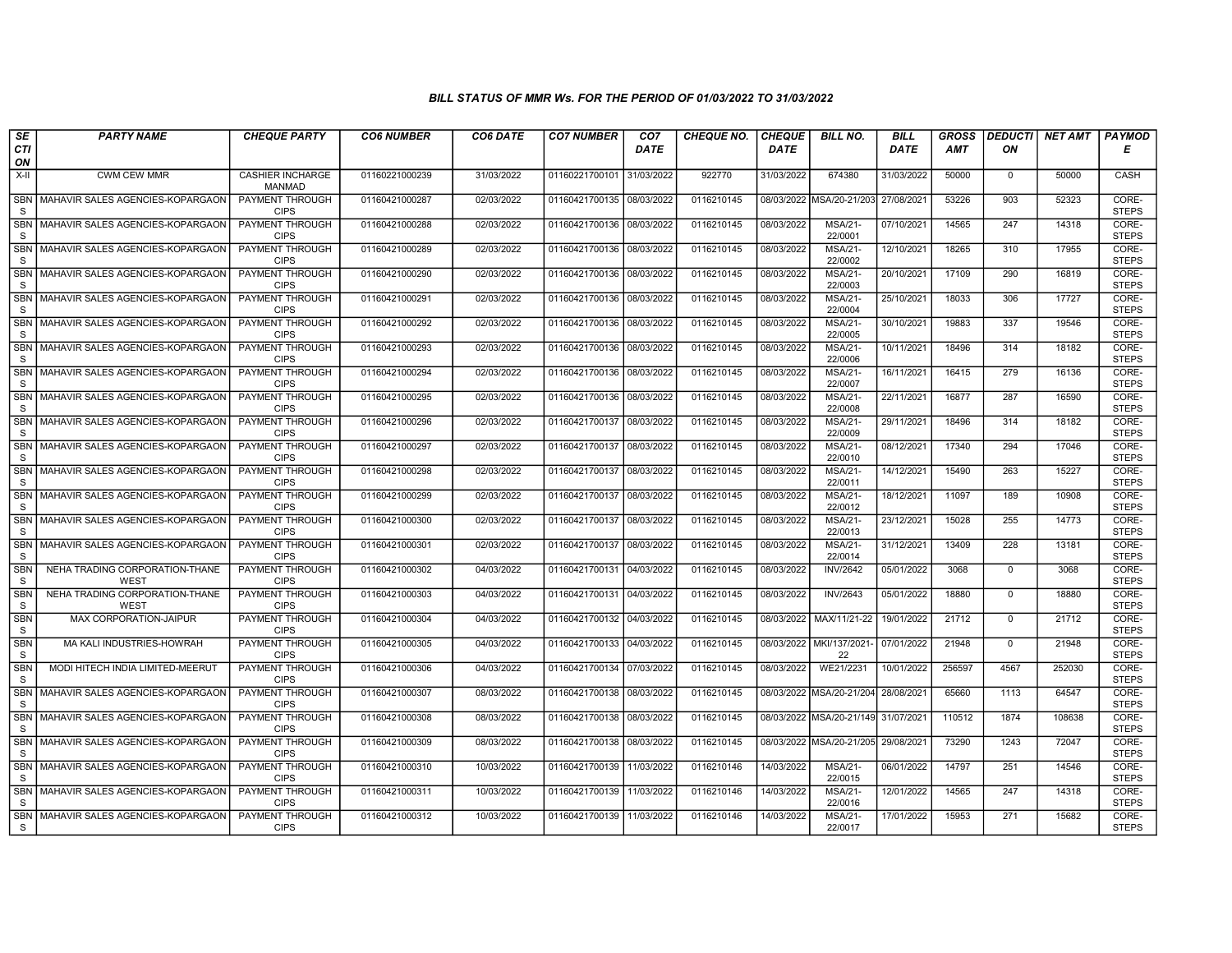## BILL STATUS OF MMR Ws. FOR THE PERIOD OF 01/03/2022 TO 31/03/2022

| SE                         | <b>PARTY NAME</b>                             | <b>CHEQUE PARTY</b>                      | <b>CO6 NUMBER</b> | CO6 DATE   | <b>CO7 NUMBER</b>         | CO <sub>7</sub> | <b>CHEQUE NO.</b> | <b>CHEQUE</b> | <b>BILL NO.</b>                     | <b>BILL</b> | <b>GROSS</b>   | <b>DEDUCTI</b> | <b>NET AMT</b> | <b>PAYMOD</b>                  |
|----------------------------|-----------------------------------------------|------------------------------------------|-------------------|------------|---------------------------|-----------------|-------------------|---------------|-------------------------------------|-------------|----------------|----------------|----------------|--------------------------------|
| <b>CTI</b><br>ON           |                                               |                                          |                   |            |                           | <b>DATE</b>     |                   | <b>DATE</b>   |                                     | <b>DATE</b> | <b>AMT</b>     | ON             |                | Е                              |
| $X-H$                      | <b>CWM CEW MMR</b>                            | <b>CASHIER INCHARGE</b><br><b>MANMAD</b> | 01160221000239    | 31/03/2022 | 01160221700101            | 31/03/2022      | 922770            | 31/03/2022    | 674380                              | 31/03/2022  | 50000          | 0              | 50000          | CASH                           |
| <b>SBN</b><br><sub>S</sub> | MAHAVIR SALES AGENCIES-KOPARGAON              | <b>PAYMENT THROUGH</b><br><b>CIPS</b>    | 01160421000287    | 02/03/2022 | 01160421700135 08/03/2022 |                 | 0116210145        |               | 08/03/2022 MSA/20-21/203            | 27/08/2021  | 53226          | 903            | 52323          | CORE-<br><b>STEPS</b>          |
| <b>SBN</b><br><sub>S</sub> | MAHAVIR SALES AGENCIES-KOPARGAON              | PAYMENT THROUGH<br><b>CIPS</b>           | 01160421000288    | 02/03/2022 | 01160421700136 08/03/2022 |                 | 0116210145        | 08/03/2022    | <b>MSA/21-</b><br>22/0001           | 07/10/2021  | 14565          | 247            | 14318          | CORE-<br><b>STEPS</b>          |
| <b>SBN</b><br>S            | MAHAVIR SALES AGENCIES-KOPARGAON              | <b>PAYMENT THROUGH</b><br><b>CIPS</b>    | 01160421000289    | 02/03/2022 | 01160421700136 08/03/2022 |                 | 0116210145        | 08/03/2022    | <b>MSA/21-</b><br>22/0002           | 12/10/2021  | 18265          | 310            | 17955          | CORE-<br><b>STEPS</b>          |
| <b>SBN</b><br><sub>S</sub> | MAHAVIR SALES AGENCIES-KOPARGAON              | <b>PAYMENT THROUGH</b><br><b>CIPS</b>    | 01160421000290    | 02/03/2022 | 01160421700136 08/03/2022 |                 | 0116210145        | 08/03/2022    | <b>MSA/21-</b><br>22/0003           | 20/10/2021  | 17109          | 290            | 16819          | CORE-<br><b>STEPS</b>          |
| <b>SBN</b><br>S            | MAHAVIR SALES AGENCIES-KOPARGAON              | <b>PAYMENT THROUGH</b><br><b>CIPS</b>    | 01160421000291    | 02/03/2022 | 01160421700136 08/03/2022 |                 | 0116210145        | 08/03/2022    | <b>MSA/21-</b><br>22/0004           | 25/10/2021  | 18033          | 306            | 17727          | CORE-<br><b>STEPS</b>          |
| SBN<br><sub>S</sub>        | MAHAVIR SALES AGENCIES-KOPARGAON              | PAYMENT THROUGH<br><b>CIPS</b>           | 01160421000292    | 02/03/2022 | 01160421700136 08/03/2022 |                 | 0116210145        | 08/03/2022    | <b>MSA/21-</b><br>22/0005           | 30/10/2021  | 19883          | 337            | 19546          | CORE-<br><b>STEPS</b>          |
| <b>SBN</b><br>S            | MAHAVIR SALES AGENCIES-KOPARGAON              | <b>PAYMENT THROUGH</b><br><b>CIPS</b>    | 01160421000293    | 02/03/2022 | 01160421700136 08/03/2022 |                 | 0116210145        | 08/03/2022    | <b>MSA/21-</b><br>22/0006           | 10/11/2021  | 18496          | 314            | 18182          | CORE-<br><b>STEPS</b>          |
| <b>SBN</b><br><sub>S</sub> | MAHAVIR SALES AGENCIES-KOPARGAON              | <b>PAYMENT THROUGH</b><br><b>CIPS</b>    | 01160421000294    | 02/03/2022 | 01160421700136 08/03/2022 |                 | 0116210145        | 08/03/2022    | <b>MSA/21-</b><br>22/0007           | 16/11/2021  | 16415          | 279            | 16136          | CORE-<br><b>STEPS</b>          |
| <b>SBN</b><br><sub>S</sub> | MAHAVIR SALES AGENCIES-KOPARGAON              | <b>PAYMENT THROUGH</b><br><b>CIPS</b>    | 01160421000295    | 02/03/2022 | 01160421700136 08/03/2022 |                 | 0116210145        | 08/03/2022    | <b>MSA/21-</b><br>22/0008           | 22/11/2021  | 16877          | 287            | 16590          | CORE-<br><b>STEPS</b>          |
| SBN<br><sub>S</sub>        | MAHAVIR SALES AGENCIES-KOPARGAON              | PAYMENT THROUGH<br><b>CIPS</b>           | 01160421000296    | 02/03/2022 | 01160421700137            | 08/03/2022      | 0116210145        | 08/03/2022    | <b>MSA/21-</b><br>22/0009           | 29/11/2021  | 18496          | 314            | 18182          | CORE-<br><b>STEPS</b>          |
| <b>SBN</b><br><sub>S</sub> | MAHAVIR SALES AGENCIES-KOPARGAON              | PAYMENT THROUGH<br><b>CIPS</b>           | 01160421000297    | 02/03/2022 | 01160421700137            | 08/03/2022      | 0116210145        | 08/03/2022    | <b>MSA/21-</b><br>22/0010           | 08/12/2021  | 17340          | 294            | 17046          | CORE-<br><b>STEPS</b>          |
| <b>SBN</b><br>S            | MAHAVIR SALES AGENCIES-KOPARGAON              | <b>PAYMENT THROUGH</b><br><b>CIPS</b>    | 01160421000298    | 02/03/2022 | 01160421700137 08/03/2022 |                 | 0116210145        | 08/03/2022    | <b>MSA/21-</b><br>22/0011           | 14/12/2021  | 15490          | 263            | 15227          | CORE-<br><b>STEPS</b>          |
| <b>SBN</b><br><sub>S</sub> | MAHAVIR SALES AGENCIES-KOPARGAON              | <b>PAYMENT THROUGH</b><br><b>CIPS</b>    | 01160421000299    | 02/03/2022 | 01160421700137            | 08/03/2022      | 0116210145        | 08/03/2022    | <b>MSA/21-</b><br>22/0012           | 18/12/2021  | 11097          | 189            | 10908          | CORE-<br><b>STEPS</b>          |
| <b>SBN</b><br><sub>S</sub> | MAHAVIR SALES AGENCIES-KOPARGAON              | PAYMENT THROUGH<br><b>CIPS</b>           | 01160421000300    | 02/03/2022 | 01160421700137 08/03/2022 |                 | 0116210145        | 08/03/2022    | <b>MSA/21-</b><br>22/0013           | 23/12/2021  | 15028          | 255            | 14773          | CORE-<br><b>STEPS</b>          |
| <b>SBN</b><br><sub>S</sub> | MAHAVIR SALES AGENCIES-KOPARGAON              | PAYMENT THROUGH<br><b>CIPS</b>           | 01160421000301    | 02/03/2022 | 01160421700137 08/03/2022 |                 | 0116210145        | 08/03/2022    | <b>MSA/21-</b><br>22/0014           | 31/12/2021  | 13409          | 228            | 13181          | CORE-<br><b>STEPS</b>          |
| <b>SBN</b><br>S            | NEHA TRADING CORPORATION-THANE<br>WEST        | PAYMENT THROUGH<br><b>CIPS</b>           | 01160421000302    | 04/03/2022 | 01160421700131            | 04/03/2022      | 0116210145        | 08/03/2022    | <b>INV/2642</b>                     | 05/01/2022  | 3068           | $\mathbf 0$    | 3068           | CORE-<br><b>STEPS</b>          |
| <b>SBN</b><br>S            | NEHA TRADING CORPORATION-THANE<br><b>WEST</b> | <b>PAYMENT THROUGH</b><br><b>CIPS</b>    | 01160421000303    | 04/03/2022 | 01160421700131 04/03/2022 |                 | 0116210145        | 08/03/2022    | <b>INV/2643</b>                     | 05/01/2022  | 18880          | $\mathbf 0$    | 18880          | CORE-<br><b>STEPS</b>          |
| <b>SBN</b><br>S            | MAX CORPORATION-JAIPUR                        | PAYMENT THROUGH<br><b>CIPS</b>           | 01160421000304    | 04/03/2022 | 01160421700132 04/03/2022 |                 | 0116210145        |               | 08/03/2022   MAX/11/21-22           | 19/01/2022  | 21712<br>21948 | $\mathbf 0$    | 21712<br>21948 | CORE-<br><b>STEPS</b>          |
| SBN<br>$\mathsf{s}$        | MA KALI INDUSTRIES-HOWRAH                     | PAYMENT THROUGH<br><b>CIPS</b>           | 01160421000305    | 04/03/2022 | 01160421700133 04/03/2022 |                 | 0116210145        | 08/03/2022    | MKI/137/2021<br>22                  | 07/01/2022  |                | $\mathbf 0$    |                | CORE-<br><b>STEPS</b>          |
| <b>SBN</b><br>S            | MODI HITECH INDIA LIMITED-MEERUT              | <b>PAYMENT THROUGH</b><br><b>CIPS</b>    | 01160421000306    | 04/03/2022 | 01160421700134 07/03/2022 |                 | 0116210145        | 08/03/2022    | WE21/2231                           | 10/01/2022  | 256597         | 4567           | 252030         | CORE-<br><b>STEPS</b><br>CORE- |
| <b>SBN</b><br>S            | MAHAVIR SALES AGENCIES-KOPARGAON              | <b>PAYMENT THROUGH</b><br><b>CIPS</b>    | 01160421000307    | 08/03/2022 | 01160421700138 08/03/2022 |                 | 0116210145        |               | 08/03/2022 MSA/20-21/204            | 28/08/2021  | 65660          | 1113           | 64547          | <b>STEPS</b>                   |
| SBN<br>S                   | MAHAVIR SALES AGENCIES-KOPARGAON              | PAYMENT THROUGH<br><b>CIPS</b>           | 01160421000308    | 08/03/2022 | 01160421700138 08/03/2022 |                 | 0116210145        |               | 08/03/2022 MSA/20-21/149 31/07/2021 |             | 110512         | 1874           | 108638         | CORE-<br><b>STEPS</b>          |
| <b>SBN</b><br>S            | MAHAVIR SALES AGENCIES-KOPARGAON              | PAYMENT THROUGH<br><b>CIPS</b>           | 01160421000309    | 08/03/2022 | 01160421700138 08/03/2022 |                 | 0116210145        |               | 08/03/2022 MSA/20-21/205            | 29/08/2021  | 73290          | 1243           | 72047          | CORE-<br><b>STEPS</b>          |
| SBN<br>S                   | MAHAVIR SALES AGENCIES-KOPARGAON              | PAYMENT THROUGH<br><b>CIPS</b>           | 01160421000310    | 10/03/2022 | 01160421700139 11/03/2022 |                 | 0116210146        | 14/03/2022    | <b>MSA/21-</b><br>22/0015           | 06/01/2022  | 14797          | 251            | 14546          | CORE-<br><b>STEPS</b>          |
| <b>SBN</b><br>S            | MAHAVIR SALES AGENCIES-KOPARGAON              | <b>PAYMENT THROUGH</b><br><b>CIPS</b>    | 01160421000311    | 10/03/2022 | 01160421700139 11/03/2022 |                 | 0116210146        | 14/03/2022    | <b>MSA/21-</b><br>22/0016           | 12/01/2022  | 14565          | 247            | 14318          | CORE-<br><b>STEPS</b>          |
| <sub>S</sub>               | SBN   MAHAVIR SALES AGENCIES-KOPARGAON        | PAYMENT THROUGH<br><b>CIPS</b>           | 01160421000312    | 10/03/2022 | 01160421700139 11/03/2022 |                 | 0116210146        | 14/03/2022    | <b>MSA/21-</b><br>22/0017           | 17/01/2022  | 15953          | 271            | 15682          | CORE-<br><b>STEPS</b>          |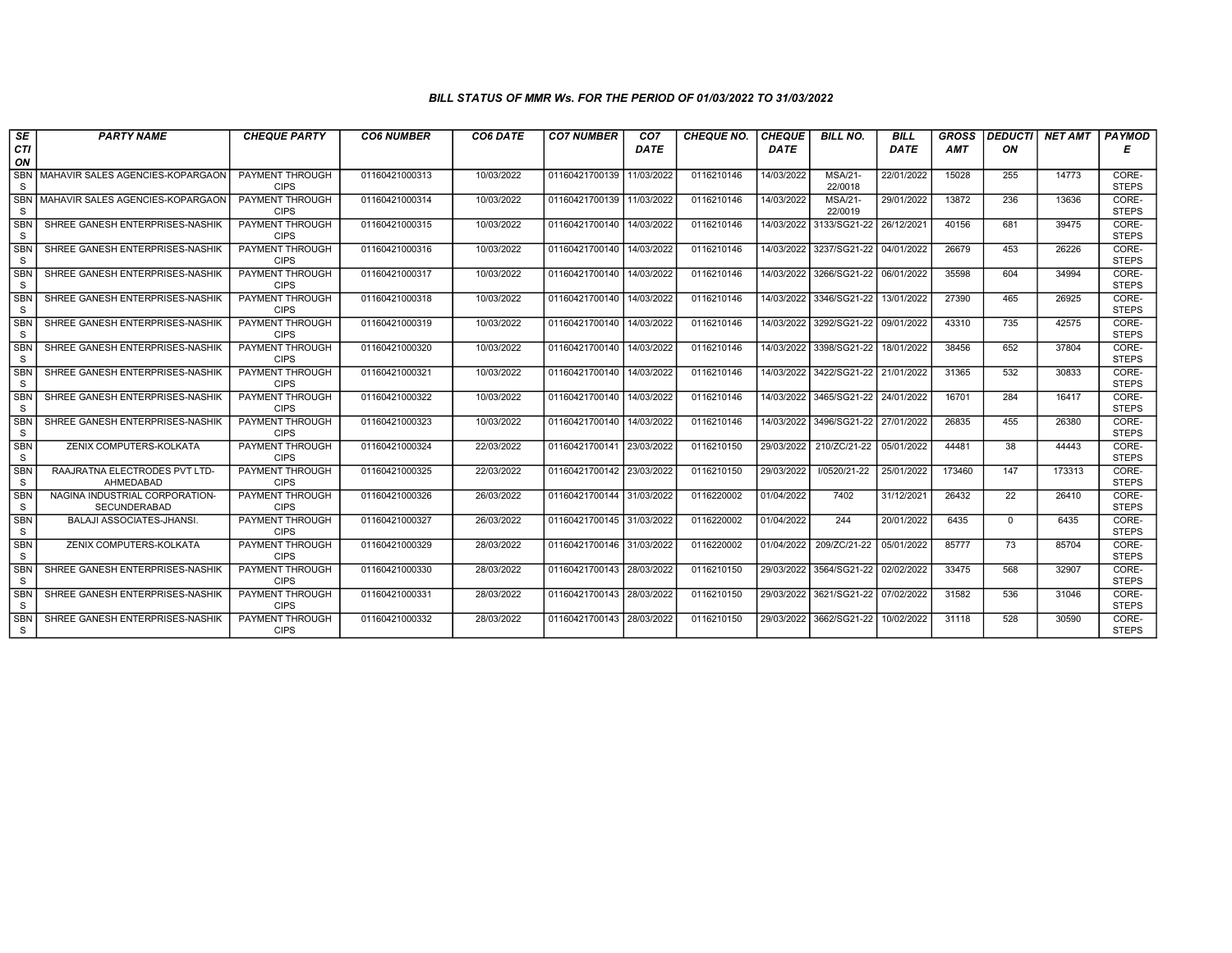## BILL STATUS OF MMR Ws. FOR THE PERIOD OF 01/03/2022 TO 31/03/2022

| SE                  | <b>PARTY NAME</b>                              | <b>CHEQUE PARTY</b>                   | <b>CO6 NUMBER</b> | CO6 DATE   | <b>CO7 NUMBER</b>         | CO <sub>7</sub> | <b>CHEQUE NO.</b> | <b>CHEQUE</b> | <b>BILL NO.</b>           | <b>BILL</b> | <b>GROSS</b> | <b>DEDUCTI</b> | <b>NET AMT</b> | <b>PAYMOD</b>         |
|---------------------|------------------------------------------------|---------------------------------------|-------------------|------------|---------------------------|-----------------|-------------------|---------------|---------------------------|-------------|--------------|----------------|----------------|-----------------------|
| <b>CTI</b><br>ON    |                                                |                                       |                   |            |                           | DATE            |                   | <b>DATE</b>   |                           | DATE        | AMT          | ON             |                | Е                     |
| <b>SBN</b>          | MAHAVIR SALES AGENCIES-KOPARGAON               | <b>PAYMENT THROUGH</b>                | 01160421000313    | 10/03/2022 | 01160421700139            | 11/03/2022      | 0116210146        | 14/03/2022    | <b>MSA/21-</b>            | 22/01/2022  | 15028        | 255            | 14773          | CORE-                 |
| S                   |                                                | <b>CIPS</b>                           |                   |            |                           |                 |                   |               | 22/0018                   |             |              |                |                | <b>STEPS</b>          |
| S                   | SBN MAHAVIR SALES AGENCIES-KOPARGAON           | <b>PAYMENT THROUGH</b><br><b>CIPS</b> | 01160421000314    | 10/03/2022 | 01160421700139            | 11/03/2022      | 0116210146        | 14/03/2022    | <b>MSA/21-</b><br>22/0019 | 29/01/2022  | 13872        | 236            | 13636          | CORE-<br><b>STEPS</b> |
| SBN                 | SHREE GANESH ENTERPRISES-NASHIK                | PAYMENT THROUGH                       | 01160421000315    | 10/03/2022 | 01160421700140            | 14/03/2022      | 0116210146        | 14/03/2022    | 3133/SG21-22              | 26/12/2021  | 40156        | 681            | 39475          | CORE-                 |
| S                   |                                                | <b>CIPS</b>                           |                   |            |                           |                 |                   |               |                           |             |              |                |                | <b>STEPS</b>          |
| <b>SBN</b><br>S     | SHREE GANESH ENTERPRISES-NASHIK                | PAYMENT THROUGH<br><b>CIPS</b>        | 01160421000316    | 10/03/2022 | 01160421700140            | 14/03/2022      | 0116210146        |               | 14/03/2022 3237/SG21-22   | 04/01/2022  | 26679        | 453            | 26226          | CORE-<br><b>STEPS</b> |
| <b>SBN</b><br>S     | SHREE GANESH ENTERPRISES-NASHIK                | <b>PAYMENT THROUGH</b><br><b>CIPS</b> | 01160421000317    | 10/03/2022 | 01160421700140            | 14/03/2022      | 0116210146        | 14/03/2022    | 3266/SG21-22              | 06/01/2022  | 35598        | 604            | 34994          | CORE-<br><b>STEPS</b> |
| <b>SBN</b>          | SHREE GANESH ENTERPRISES-NASHIK                | <b>PAYMENT THROUGH</b>                | 01160421000318    | 10/03/2022 | 01160421700140            | 14/03/2022      | 0116210146        | 14/03/2022    | 3346/SG21-22              | 13/01/2022  | 27390        | 465            | 26925          | CORE-                 |
| S                   |                                                | <b>CIPS</b>                           |                   |            |                           |                 |                   |               |                           |             |              |                |                | <b>STEPS</b>          |
| <b>SBN</b><br>S     | SHREE GANESH ENTERPRISES-NASHIK                | PAYMENT THROUGH<br><b>CIPS</b>        | 01160421000319    | 10/03/2022 | 01160421700140            | 14/03/2022      | 0116210146        | 14/03/2022    | 3292/SG21-22              | 09/01/2022  | 43310        | 735            | 42575          | CORE-<br><b>STEPS</b> |
| <b>SBN</b><br>S     | SHREE GANESH ENTERPRISES-NASHIK                | PAYMENT THROUGH<br><b>CIPS</b>        | 01160421000320    | 10/03/2022 | 01160421700140            | 14/03/2022      | 0116210146        | 14/03/2022    | 3398/SG21-22              | 18/01/2022  | 38456        | 652            | 37804          | CORE-<br><b>STEPS</b> |
| <b>SBN</b>          | SHREE GANESH ENTERPRISES-NASHIK                | <b>PAYMENT THROUGH</b>                | 01160421000321    | 10/03/2022 | 01160421700140            | 14/03/2022      | 0116210146        |               | 14/03/2022 3422/SG21-22   | 21/01/2022  | 31365        | 532            | 30833          | CORE-                 |
| S                   |                                                | <b>CIPS</b>                           |                   |            |                           |                 |                   |               |                           |             |              |                |                | <b>STEPS</b>          |
| <b>SBN</b><br>S     | SHREE GANESH ENTERPRISES-NASHIK                | <b>PAYMENT THROUGH</b><br><b>CIPS</b> | 01160421000322    | 10/03/2022 | 01160421700140            | 14/03/2022      | 0116210146        | 14/03/2022    | 3465/SG21-22              | 24/01/2022  | 16701        | 284            | 16417          | CORE-<br><b>STEPS</b> |
| SBN<br><sub>S</sub> | SHREE GANESH ENTERPRISES-NASHIK                | PAYMENT THROUGH<br><b>CIPS</b>        | 01160421000323    | 10/03/2022 | 01160421700140            | 14/03/2022      | 0116210146        | 14/03/2022    | 3496/SG21-22              | 27/01/2022  | 26835        | 455            | 26380          | CORE-<br><b>STEPS</b> |
| <b>SBN</b>          | ZENIX COMPUTERS-KOLKATA                        | PAYMENT THROUGH                       | 01160421000324    | 22/03/2022 | 01160421700141 23/03/2022 |                 | 0116210150        | 29/03/2022    | 210/ZC/21-22              | 05/01/2022  | 44481        | 38             | 44443          | CORE-                 |
| S                   |                                                | <b>CIPS</b>                           |                   |            |                           |                 |                   |               |                           |             |              |                |                | <b>STEPS</b>          |
| <b>SBN</b><br>S     | RAAJRATNA ELECTRODES PVT LTD-<br>AHMEDABAD     | <b>PAYMENT THROUGH</b><br><b>CIPS</b> | 01160421000325    | 22/03/2022 | 01160421700142            | 23/03/2022      | 0116210150        | 29/03/2022    | I/0520/21-22              | 25/01/2022  | 173460       | 147            | 173313         | CORE-<br><b>STEPS</b> |
| <b>SBN</b><br>S     | NAGINA INDUSTRIAL CORPORATION-<br>SECUNDERABAD | <b>PAYMENT THROUGH</b><br><b>CIPS</b> | 01160421000326    | 26/03/2022 | 01160421700144 31/03/2022 |                 | 0116220002        | 01/04/2022    | 7402                      | 31/12/2021  | 26432        | 22             | 26410          | CORE-<br><b>STEPS</b> |
| SBN<br>S            | <b>BALAJI ASSOCIATES-JHANSI.</b>               | PAYMENT THROUGH<br><b>CIPS</b>        | 01160421000327    | 26/03/2022 | 01160421700145 31/03/2022 |                 | 0116220002        | 01/04/2022    | 244                       | 20/01/2022  | 6435         | $\Omega$       | 6435           | CORE-<br><b>STEPS</b> |
| <b>SBN</b><br>S     | ZENIX COMPUTERS-KOLKATA                        | <b>PAYMENT THROUGH</b><br><b>CIPS</b> | 01160421000329    | 28/03/2022 | 01160421700146 31/03/2022 |                 | 0116220002        | 01/04/2022    | 209/ZC/21-22              | 05/01/2022  | 85777        | 73             | 85704          | CORE-<br><b>STEPS</b> |
| <b>SBN</b>          | SHREE GANESH ENTERPRISES-NASHIK                | <b>PAYMENT THROUGH</b>                | 01160421000330    | 28/03/2022 | 01160421700143 28/03/2022 |                 | 0116210150        | 29/03/2022    | 3564/SG21-22              | 02/02/2022  | 33475        | 568            | 32907          | CORE-                 |
| S                   |                                                | <b>CIPS</b>                           |                   |            |                           |                 |                   |               |                           |             |              |                |                | <b>STEPS</b>          |
| <b>SBN</b><br>S     | SHREE GANESH ENTERPRISES-NASHIK                | PAYMENT THROUGH<br><b>CIPS</b>        | 01160421000331    | 28/03/2022 | 01160421700143 28/03/2022 |                 | 0116210150        | 29/03/2022    | 3621/SG21-22              | 07/02/2022  | 31582        | 536            | 31046          | CORE-<br><b>STEPS</b> |
| <b>SBN</b><br>S     | SHREE GANESH ENTERPRISES-NASHIK                | PAYMENT THROUGH<br><b>CIPS</b>        | 01160421000332    | 28/03/2022 | 01160421700143 28/03/2022 |                 | 0116210150        | 29/03/2022    | 3662/SG21-22              | 10/02/2022  | 31118        | 528            | 30590          | CORE-<br><b>STEPS</b> |